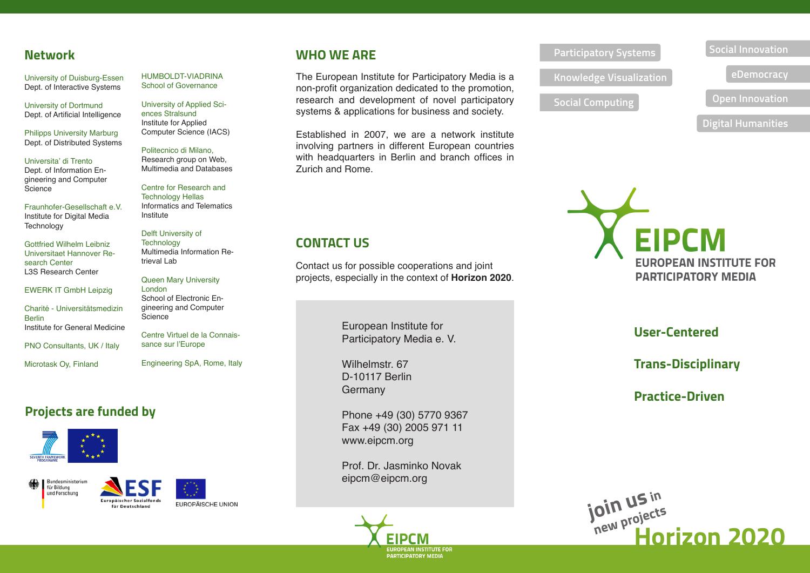#### **Network**

University of Duisburg-Essen Dept. of Interactive Systems

University of Dortmund Dept. of Artificial Intelligence

Philipps University Marburg Dept. of Distributed Systems

Universita' di Trento Dept. of Information Engineering and Computer **Science** 

Fraunhofer-Gesellschaft e.V. Institute for Digital Media **Technology** 

Gottfried Wilhelm Leibniz Universitaet Hannover Research Center L3S Research Center

EWERK IT GmbH Leipzig

Charité - Universitätsmedizin Berlin Institute for General Medicine

PNO Consultants, UK / Italy

Microtask Oy, Finland

HUMBOLDT-VIADRINA School of Governance

University of Applied Sciences Stralsund Institute for Applied Computer Science (IACS)

Politecnico di Milano, Research group on Web. Multimedia and Databases

Centre for Research and Technology Hellas Informatics and Telematics Institute

#### Delft University of

**Technology** Multimedia Information Retrieval Lab

#### Queen Mary University

London School of Electronic Engineering and Computer **Science** 

sance sur l'Europe

## **Projects are funded by**





**WHO WE ARE**

The European Institute for Participatory Media is a non-profit organization dedicated to the promotion, research and development of novel participatory systems & applications for business and society.

Established in 2007, we are a network institute involving partners in different European countries with headquarters in Berlin and branch offices in Zurich and Rome.

## **CONTACT US**

Contact us for possible cooperations and joint projects, especially in the context of **Horizon 2020**.

> European Institute for Participatory Media e. V.

Wilhelmstr. 67 D-10117 Berlin Germany

Phone +49 (30) 5770 9367 Fax +49 (30) 2005 971 11 www.eipcm.org

Prof. Dr. Jasminko Novak eipcm@eipcm.org



**Participatory Systems**

**Knowledge Visualization**

**Social Computing**

**Social Innovation**

**eDemocracy**

**Open Innovation**

**Digital Humanities**



**User-Centered**

**Trans-Disciplinary**

**Practice-Driven**



Centre Virtuel de la Connais-

Engineering SpA, Rome, Italy